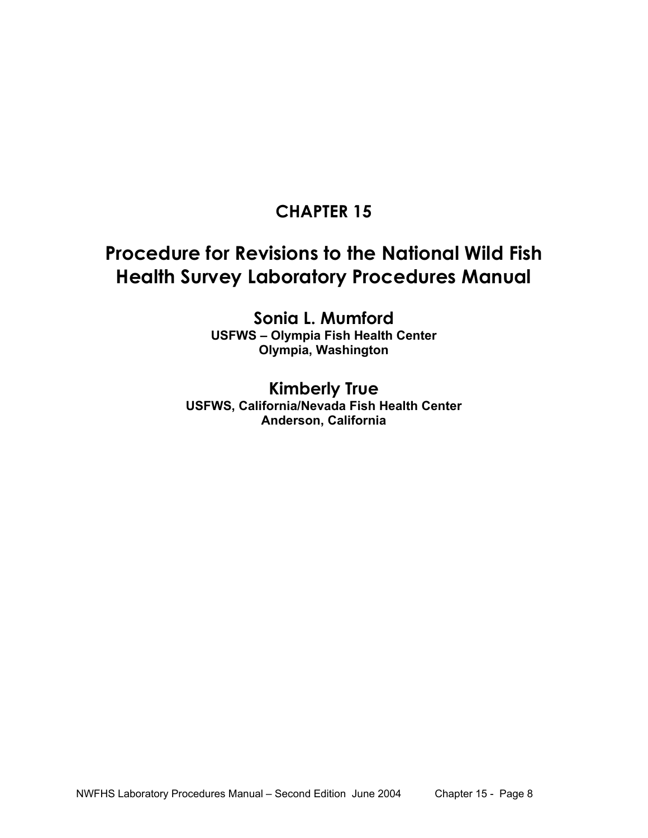# **CHAPTER 15**

# **Procedure for Revisions to the National Wild Fish Health Survey Laboratory Procedures Manual**

**Sonia L. Mumford USFWS – Olympia Fish Health Center Olympia, Washington** 

### **Kimberly True USFWS, California/Nevada Fish Health Center Anderson, California**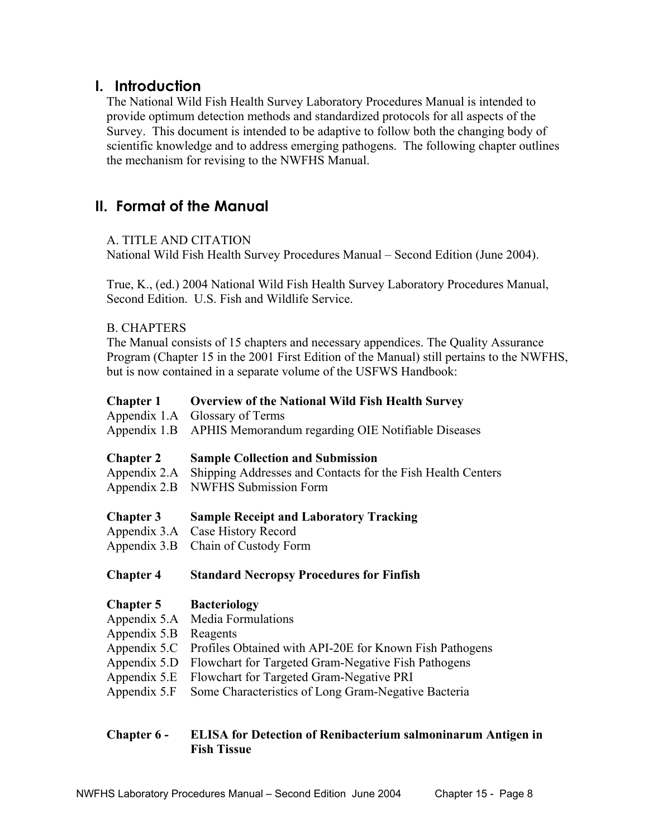### **I. Introduction**

The National Wild Fish Health Survey Laboratory Procedures Manual is intended to provide optimum detection methods and standardized protocols for all aspects of the Survey. This document is intended to be adaptive to follow both the changing body of scientific knowledge and to address emerging pathogens. The following chapter outlines the mechanism for revising to the NWFHS Manual.

# **II. Format of the Manual**

#### A. TITLE AND CITATION

National Wild Fish Health Survey Procedures Manual – Second Edition (June 2004).

 True, K., (ed.) 2004 National Wild Fish Health Survey Laboratory Procedures Manual, Second Edition. U.S. Fish and Wildlife Service.

#### B. CHAPTERS

The Manual consists of 15 chapters and necessary appendices. The Quality Assurance Program (Chapter 15 in the 2001 First Edition of the Manual) still pertains to the NWFHS, but is now contained in a separate volume of the USFWS Handbook:

- **Chapter 1 Overview of the National Wild Fish Health Survey**
- Appendix 1.A Glossary of Terms
- Appendix 1.B APHIS Memorandum regarding OIE Notifiable Diseases
- **Chapter 2 Sample Collection and Submission**
- Appendix 2.A Shipping Addresses and Contacts for the Fish Health Centers
- Appendix 2.B NWFHS Submission Form
- **Chapter 3 Sample Receipt and Laboratory Tracking**
- Appendix 3.A Case History Record
- Appendix 3.B Chain of Custody Form

#### **Chapter 4 Standard Necropsy Procedures for Finfish**

#### **Chapter 5 Bacteriology**

- Appendix 5.A Media Formulations
- Appendix 5.B Reagents
- Appendix 5.C Profiles Obtained with API-20E for Known Fish Pathogens
- Appendix 5.D Flowchart for Targeted Gram-Negative Fish Pathogens
- Appendix 5.E Flowchart for Targeted Gram-Negative PRI
- Appendix 5.F Some Characteristics of Long Gram-Negative Bacteria

#### **Chapter 6 - ELISA for Detection of Renibacterium salmoninarum Antigen in Fish Tissue**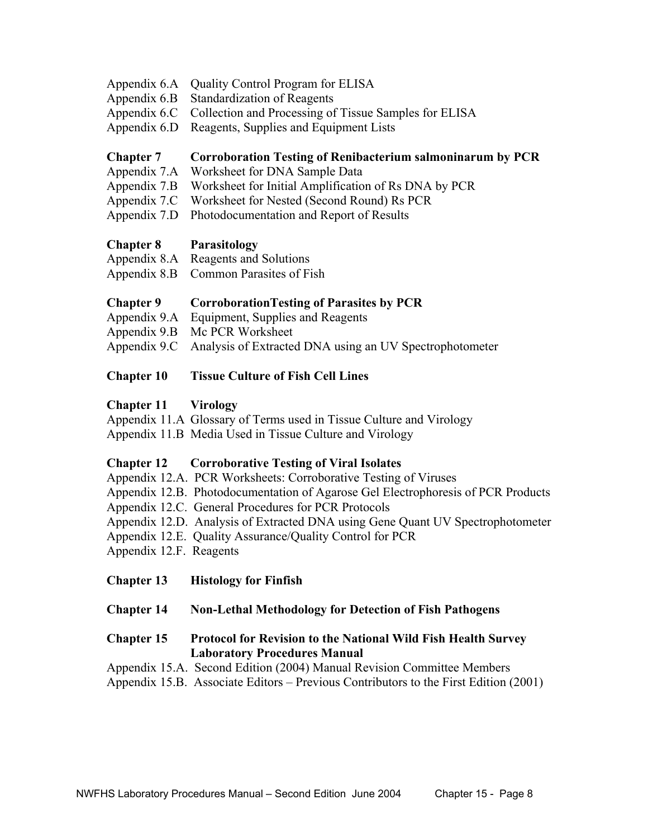- Appendix 6.A Quality Control Program for ELISA
- Appendix 6.B Standardization of Reagents
- Appendix 6.C Collection and Processing of Tissue Samples for ELISA
- Appendix 6.D Reagents, Supplies and Equipment Lists

#### **Chapter 7 Corroboration Testing of Renibacterium salmoninarum by PCR**

- Appendix 7.A Worksheet for DNA Sample Data
- Appendix 7.B Worksheet for Initial Amplification of Rs DNA by PCR
- Appendix 7.C Worksheet for Nested (Second Round) Rs PCR
- Appendix 7.D Photodocumentation and Report of Results

#### **Chapter 8 Parasitology**

| Appendix 8.A | Reagents and Solutions                |
|--------------|---------------------------------------|
|              | Appendix 8.B Common Parasites of Fish |

#### **Chapter 9 CorroborationTesting of Parasites by PCR**

- Appendix 9.A Equipment, Supplies and Reagents
- Appendix 9.B Mc PCR Worksheet
- Appendix 9.C Analysis of Extracted DNA using an UV Spectrophotometer

#### **Chapter 10 Tissue Culture of Fish Cell Lines**

#### **Chapter 11 Virology**

- Appendix 11.A Glossary of Terms used in Tissue Culture and Virology
- Appendix 11.B Media Used in Tissue Culture and Virology

#### **Chapter 12 Corroborative Testing of Viral Isolates**

- Appendix 12.A. PCR Worksheets: Corroborative Testing of Viruses
- Appendix 12.B. Photodocumentation of Agarose Gel Electrophoresis of PCR Products
- Appendix 12.C. General Procedures for PCR Protocols
- Appendix 12.D. Analysis of Extracted DNA using Gene Quant UV Spectrophotometer
- Appendix 12.E. Quality Assurance/Quality Control for PCR
- Appendix 12.F. Reagents
- **Chapter 13 Histology for Finfish**

#### **Chapter 14 Non-Lethal Methodology for Detection of Fish Pathogens**

#### **Chapter 15 Protocol for Revision to the National Wild Fish Health Survey Laboratory Procedures Manual**

- Appendix 15.A. Second Edition (2004) Manual Revision Committee Members
- Appendix 15.B. Associate Editors Previous Contributors to the First Edition (2001)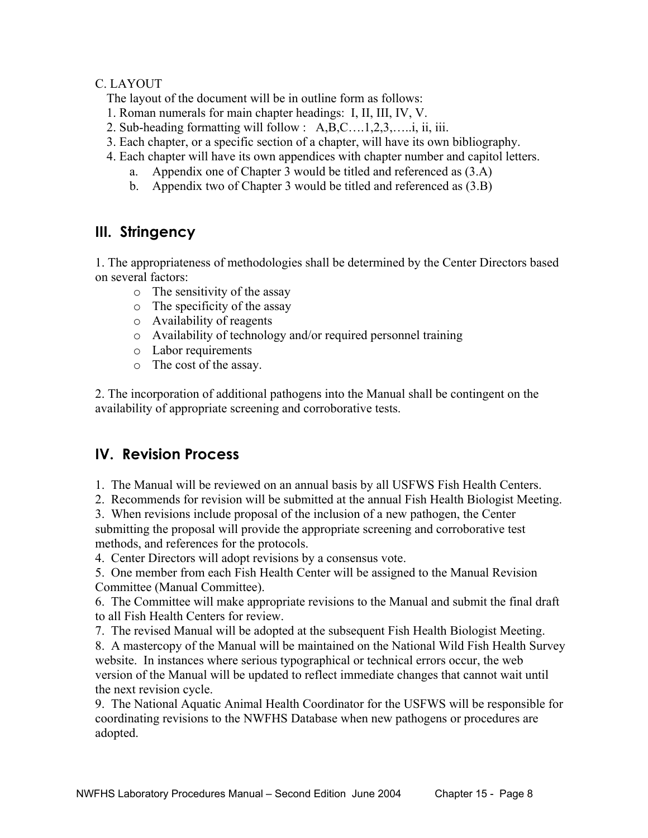#### C. LAYOUT

The layout of the document will be in outline form as follows:

- 1. Roman numerals for main chapter headings: I, II, III, IV, V.
- 2. Sub-heading formatting will follow : A,B,C….1,2,3,…..i, ii, iii.
- 3. Each chapter, or a specific section of a chapter, will have its own bibliography.
- 4. Each chapter will have its own appendices with chapter number and capitol letters.
	- a. Appendix one of Chapter 3 would be titled and referenced as (3.A)
	- b. Appendix two of Chapter 3 would be titled and referenced as (3.B)

# **III. Stringency**

1. The appropriateness of methodologies shall be determined by the Center Directors based on several factors:

- o The sensitivity of the assay
- o The specificity of the assay
- o Availability of reagents
- o Availability of technology and/or required personnel training
- o Labor requirements
- o The cost of the assay.

2. The incorporation of additional pathogens into the Manual shall be contingent on the availability of appropriate screening and corroborative tests.

# **IV. Revision Process**

1. The Manual will be reviewed on an annual basis by all USFWS Fish Health Centers.

2. Recommends for revision will be submitted at the annual Fish Health Biologist Meeting.

3. When revisions include proposal of the inclusion of a new pathogen, the Center submitting the proposal will provide the appropriate screening and corroborative test methods, and references for the protocols.

4. Center Directors will adopt revisions by a consensus vote.

5. One member from each Fish Health Center will be assigned to the Manual Revision Committee (Manual Committee).

6. The Committee will make appropriate revisions to the Manual and submit the final draft to all Fish Health Centers for review.

7. The revised Manual will be adopted at the subsequent Fish Health Biologist Meeting.

8. A mastercopy of the Manual will be maintained on the National Wild Fish Health Survey website. In instances where serious typographical or technical errors occur, the web version of the Manual will be updated to reflect immediate changes that cannot wait until the next revision cycle.

9. The National Aquatic Animal Health Coordinator for the USFWS will be responsible for coordinating revisions to the NWFHS Database when new pathogens or procedures are adopted.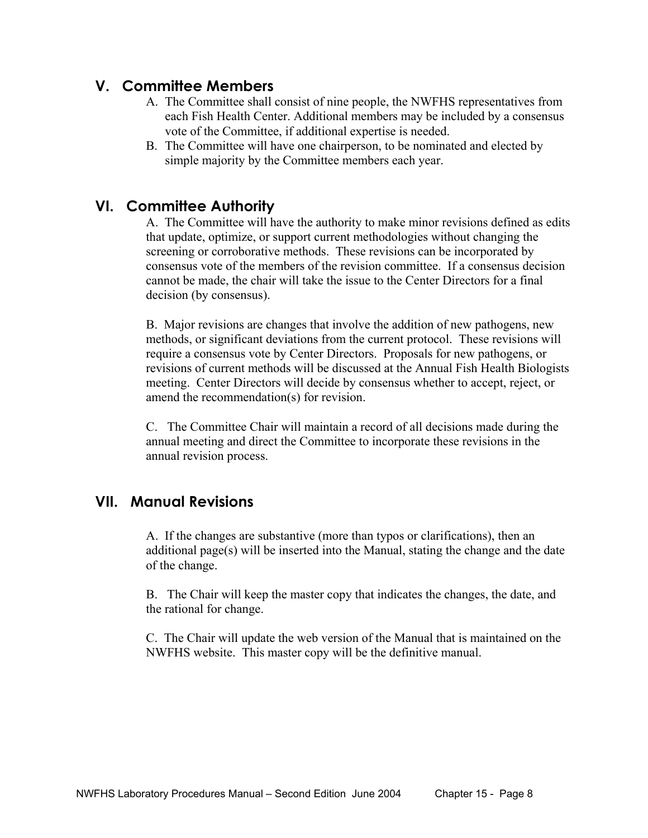# **V. Committee Members**

- A. The Committee shall consist of nine people, the NWFHS representatives from each Fish Health Center. Additional members may be included by a consensus vote of the Committee, if additional expertise is needed.
- B. The Committee will have one chairperson, to be nominated and elected by simple majority by the Committee members each year.

### **VI. Committee Authority**

A. The Committee will have the authority to make minor revisions defined as edits that update, optimize, or support current methodologies without changing the screening or corroborative methods. These revisions can be incorporated by consensus vote of the members of the revision committee. If a consensus decision cannot be made, the chair will take the issue to the Center Directors for a final decision (by consensus).

B. Major revisions are changes that involve the addition of new pathogens, new methods, or significant deviations from the current protocol. These revisions will require a consensus vote by Center Directors. Proposals for new pathogens, or revisions of current methods will be discussed at the Annual Fish Health Biologists meeting. Center Directors will decide by consensus whether to accept, reject, or amend the recommendation(s) for revision.

C. The Committee Chair will maintain a record of all decisions made during the annual meeting and direct the Committee to incorporate these revisions in the annual revision process.

# **VII. Manual Revisions**

A. If the changes are substantive (more than typos or clarifications), then an additional page(s) will be inserted into the Manual, stating the change and the date of the change.

B. The Chair will keep the master copy that indicates the changes, the date, and the rational for change.

C. The Chair will update the web version of the Manual that is maintained on the NWFHS website. This master copy will be the definitive manual.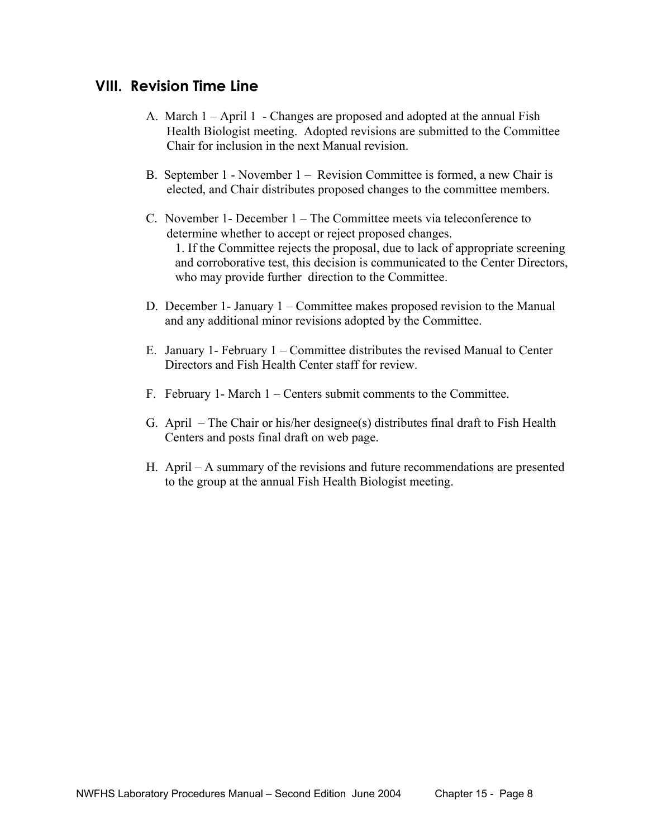### **VIII. Revision Time Line**

- A. March 1 April 1 Changes are proposed and adopted at the annual Fish Health Biologist meeting. Adopted revisions are submitted to the Committee Chair for inclusion in the next Manual revision.
- B. September 1 November 1 Revision Committee is formed, a new Chair is elected, and Chair distributes proposed changes to the committee members.
- C. November 1- December 1 The Committee meets via teleconference to determine whether to accept or reject proposed changes. 1. If the Committee rejects the proposal, due to lack of appropriate screening and corroborative test, this decision is communicated to the Center Directors, who may provide further direction to the Committee.
- D. December 1- January 1 Committee makes proposed revision to the Manual and any additional minor revisions adopted by the Committee.
- E. January 1- February 1 Committee distributes the revised Manual to Center Directors and Fish Health Center staff for review.
- F. February 1- March 1 Centers submit comments to the Committee.
- G. April The Chair or his/her designee(s) distributes final draft to Fish Health Centers and posts final draft on web page.
- H. April A summary of the revisions and future recommendations are presented to the group at the annual Fish Health Biologist meeting.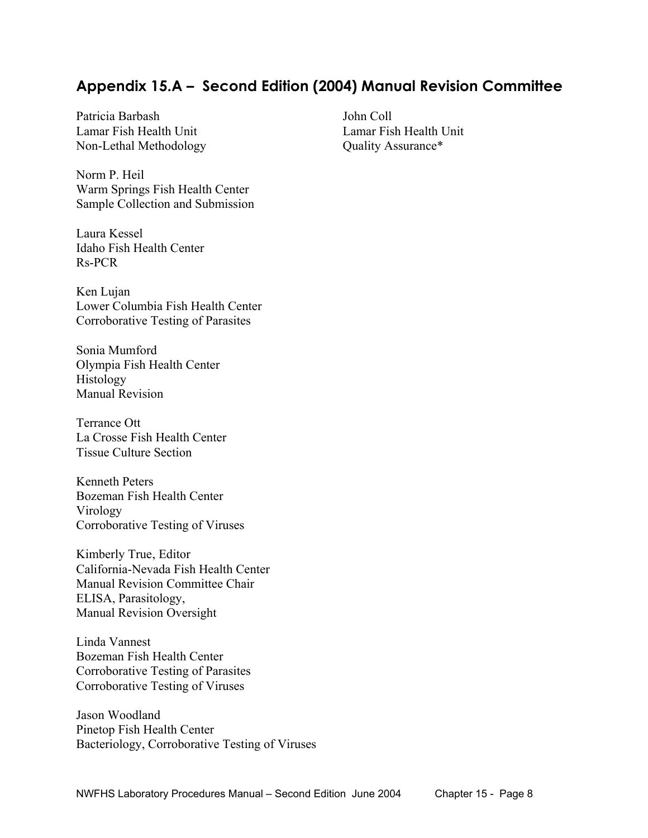# **Appendix 15.A – Second Edition (2004) Manual Revision Committee**

Patricia Barbash John Coll Lamar Fish Health Unit Lamar Fish Health Unit Non-Lethal Methodology Quality Assurance\*

Norm P. Heil Warm Springs Fish Health Center Sample Collection and Submission

Laura Kessel Idaho Fish Health Center Rs-PCR

Ken Lujan Lower Columbia Fish Health Center Corroborative Testing of Parasites

Sonia Mumford Olympia Fish Health Center Histology Manual Revision

Terrance Ott La Crosse Fish Health Center Tissue Culture Section

Kenneth Peters Bozeman Fish Health Center Virology Corroborative Testing of Viruses

Kimberly True, Editor California-Nevada Fish Health Center Manual Revision Committee Chair ELISA, Parasitology, Manual Revision Oversight

Linda Vannest Bozeman Fish Health Center Corroborative Testing of Parasites Corroborative Testing of Viruses

Jason Woodland Pinetop Fish Health Center Bacteriology, Corroborative Testing of Viruses